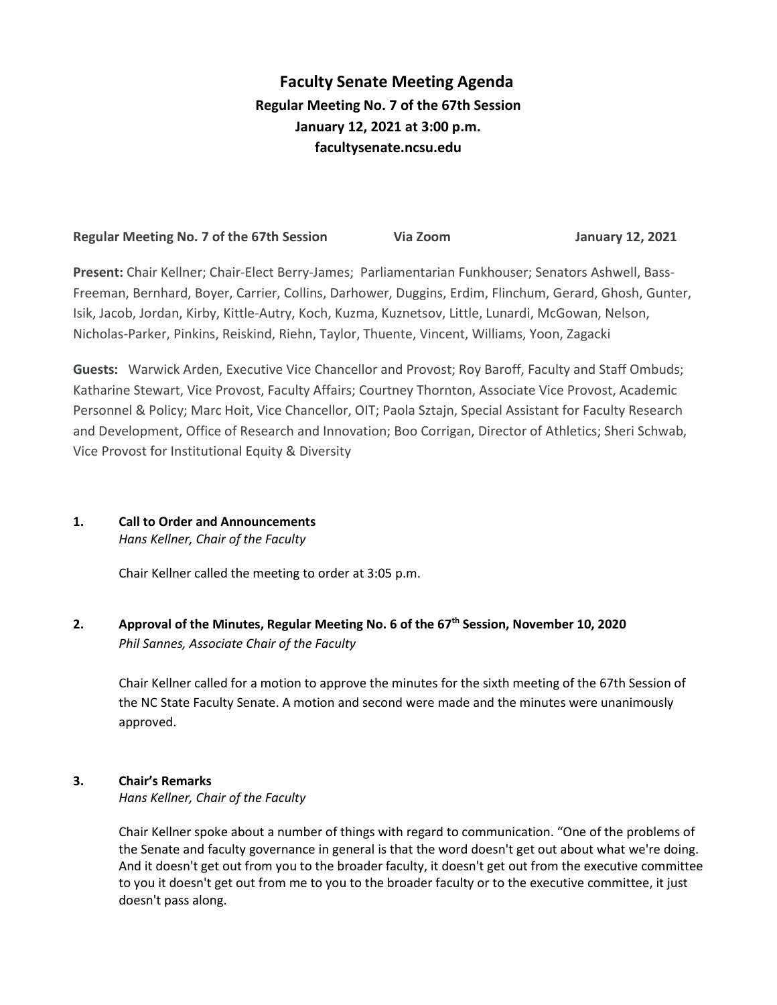# **Faculty Senate Meeting Agenda Regular Meeting No. 7 of the 67th Session January 12, 2021 at 3:00 p.m. [facultysenate.ncsu.edu](https://facultysenate.ncsu.edu/)**

# **Regular Meeting No. 7 of the 67th Session Via Zoom January 12, 2021**

**Present:** Chair Kellner; Chair-Elect Berry-James; Parliamentarian Funkhouser; Senators Ashwell, Bass-Freeman, Bernhard, Boyer, Carrier, Collins, Darhower, Duggins, Erdim, Flinchum, Gerard, Ghosh, Gunter, Isik, Jacob, Jordan, Kirby, Kittle-Autry, Koch, Kuzma, Kuznetsov, Little, Lunardi, McGowan, Nelson, Nicholas-Parker, Pinkins, Reiskind, Riehn, Taylor, Thuente, Vincent, Williams, Yoon, Zagacki

**Guests:** Warwick Arden, Executive Vice Chancellor and Provost; Roy Baroff, Faculty and Staff Ombuds; Katharine Stewart, Vice Provost, Faculty Affairs; Courtney Thornton, Associate Vice Provost, Academic Personnel & Policy; Marc Hoit, Vice Chancellor, OIT; Paola Sztajn, Special Assistant for Faculty Research and Development, Office of Research and Innovation; Boo Corrigan, Director of Athletics; Sheri Schwab, Vice Provost for Institutional Equity & Diversity

**1. Call to Order and Announcements**

*Hans Kellner, Chair of the Faculty*

Chair Kellner called the meeting to order at 3:05 p.m.

**2. Approval of the Minutes, Regular Meeting No. 6 of the 67th Session, November 10, 2020** *Phil Sannes, Associate Chair of the Faculty*

Chair Kellner called for a motion to approve the minutes for the sixth meeting of the 67th Session of the NC State Faculty Senate. A motion and second were made and the minutes were unanimously approved.

## **3. Chair's Remarks**

*Hans Kellner, Chair of the Faculty*

Chair Kellner spoke about a number of things with regard to communication. "One of the problems of the Senate and faculty governance in general is that the word doesn't get out about what we're doing. And it doesn't get out from you to the broader faculty, it doesn't get out from the executive committee to you it doesn't get out from me to you to the broader faculty or to the executive committee, it just doesn't pass along.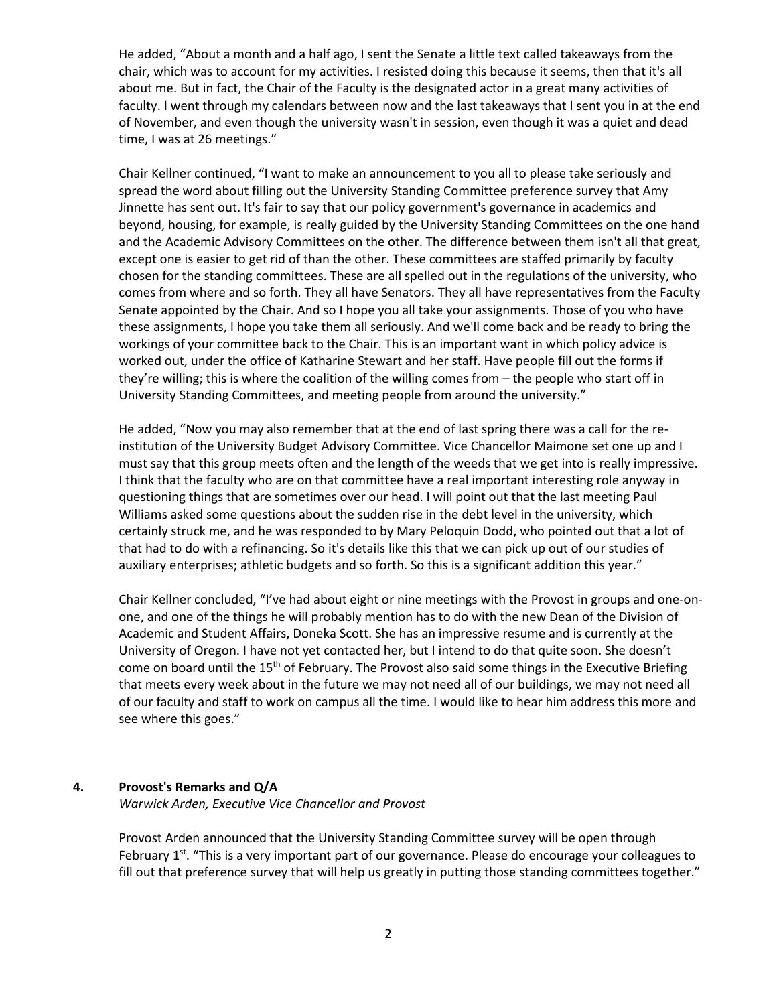He added, "About a month and a half ago, I sent the Senate a little text called takeaways from the chair, which was to account for my activities. I resisted doing this because it seems, then that it's all about me. But in fact, the Chair of the Faculty is the designated actor in a great many activities of faculty. I went through my calendars between now and the last takeaways that I sent you in at the end of November, and even though the university wasn't in session, even though it was a quiet and dead time, I was at 26 meetings."

Chair Kellner continued, "I want to make an announcement to you all to please take seriously and spread the word about filling out the University Standing Committee preference survey that Amy Jinnette has sent out. It's fair to say that our policy government's governance in academics and beyond, housing, for example, is really guided by the University Standing Committees on the one hand and the Academic Advisory Committees on the other. The difference between them isn't all that great, except one is easier to get rid of than the other. These committees are staffed primarily by faculty chosen for the standing committees. These are all spelled out in the regulations of the university, who comes from where and so forth. They all have Senators. They all have representatives from the Faculty Senate appointed by the Chair. And so I hope you all take your assignments. Those of you who have these assignments, I hope you take them all seriously. And we'll come back and be ready to bring the workings of your committee back to the Chair. This is an important want in which policy advice is worked out, under the office of Katharine Stewart and her staff. Have people fill out the forms if they're willing; this is where the coalition of the willing comes from – the people who start off in University Standing Committees, and meeting people from around the university."

He added, "Now you may also remember that at the end of last spring there was a call for the reinstitution of the University Budget Advisory Committee. Vice Chancellor Maimone set one up and I must say that this group meets often and the length of the weeds that we get into is really impressive. I think that the faculty who are on that committee have a real important interesting role anyway in questioning things that are sometimes over our head. I will point out that the last meeting Paul Williams asked some questions about the sudden rise in the debt level in the university, which certainly struck me, and he was responded to by Mary Peloquin Dodd, who pointed out that a lot of that had to do with a refinancing. So it's details like this that we can pick up out of our studies of auxiliary enterprises; athletic budgets and so forth. So this is a significant addition this year."

Chair Kellner concluded, "I've had about eight or nine meetings with the Provost in groups and one-onone, and one of the things he will probably mention has to do with the new Dean of the Division of Academic and Student Affairs, Doneka Scott. She has an impressive resume and is currently at the University of Oregon. I have not yet contacted her, but I intend to do that quite soon. She doesn't come on board until the 15<sup>th</sup> of February. The Provost also said some things in the Executive Briefing that meets every week about in the future we may not need all of our buildings, we may not need all of our faculty and staff to work on campus all the time. I would like to hear him address this more and see where this goes."

### **4. Provost's Remarks and Q/A**

*Warwick Arden, Executive Vice Chancellor and Provost*

Provost Arden announced that the University Standing Committee survey will be open through February  $1^{st}$ . "This is a very important part of our governance. Please do encourage your colleagues to fill out that preference survey that will help us greatly in putting those standing committees together."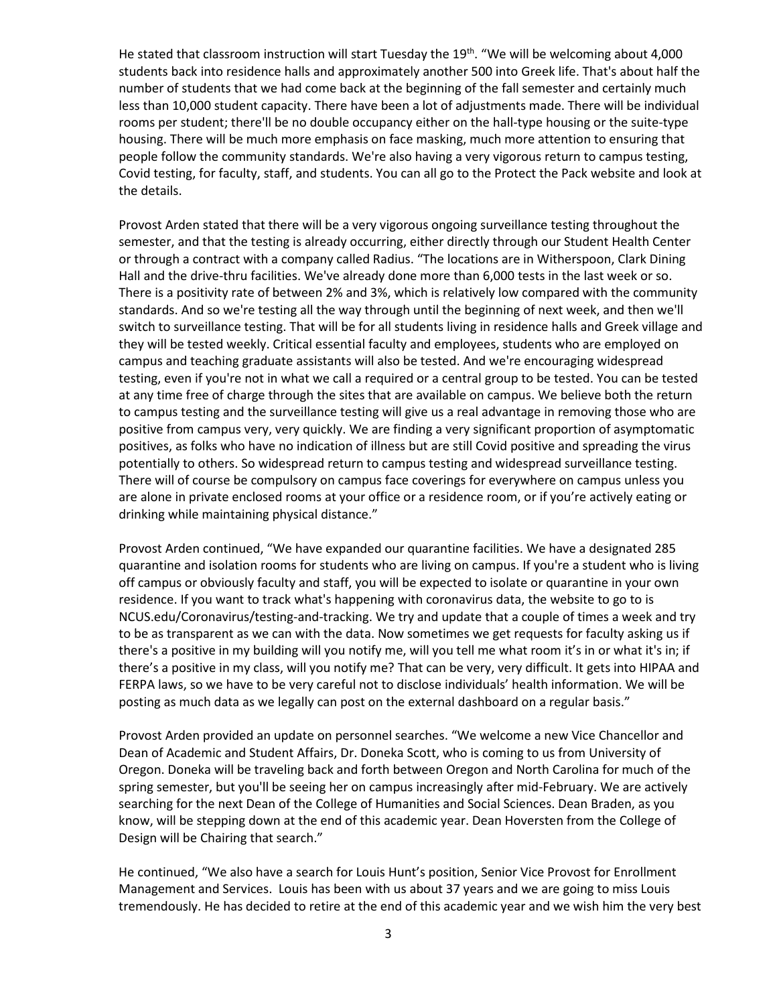He stated that classroom instruction will start Tuesday the 19<sup>th</sup>. "We will be welcoming about 4,000 students back into residence halls and approximately another 500 into Greek life. That's about half the number of students that we had come back at the beginning of the fall semester and certainly much less than 10,000 student capacity. There have been a lot of adjustments made. There will be individual rooms per student; there'll be no double occupancy either on the hall-type housing or the suite-type housing. There will be much more emphasis on face masking, much more attention to ensuring that people follow the community standards. We're also having a very vigorous return to campus testing, Covid testing, for faculty, staff, and students. You can all go to the Protect the Pack website and look at the details.

Provost Arden stated that there will be a very vigorous ongoing surveillance testing throughout the semester, and that the testing is already occurring, either directly through our Student Health Center or through a contract with a company called Radius. "The locations are in Witherspoon, Clark Dining Hall and the drive-thru facilities. We've already done more than 6,000 tests in the last week or so. There is a positivity rate of between 2% and 3%, which is relatively low compared with the community standards. And so we're testing all the way through until the beginning of next week, and then we'll switch to surveillance testing. That will be for all students living in residence halls and Greek village and they will be tested weekly. Critical essential faculty and employees, students who are employed on campus and teaching graduate assistants will also be tested. And we're encouraging widespread testing, even if you're not in what we call a required or a central group to be tested. You can be tested at any time free of charge through the sites that are available on campus. We believe both the return to campus testing and the surveillance testing will give us a real advantage in removing those who are positive from campus very, very quickly. We are finding a very significant proportion of asymptomatic positives, as folks who have no indication of illness but are still Covid positive and spreading the virus potentially to others. So widespread return to campus testing and widespread surveillance testing. There will of course be compulsory on campus face coverings for everywhere on campus unless you are alone in private enclosed rooms at your office or a residence room, or if you're actively eating or drinking while maintaining physical distance."

Provost Arden continued, "We have expanded our quarantine facilities. We have a designated 285 quarantine and isolation rooms for students who are living on campus. If you're a student who is living off campus or obviously faculty and staff, you will be expected to isolate or quarantine in your own residence. If you want to track what's happening with coronavirus data, the website to go to is NCUS.edu/Coronavirus/testing-and-tracking. We try and update that a couple of times a week and try to be as transparent as we can with the data. Now sometimes we get requests for faculty asking us if there's a positive in my building will you notify me, will you tell me what room it's in or what it's in; if there's a positive in my class, will you notify me? That can be very, very difficult. It gets into HIPAA and FERPA laws, so we have to be very careful not to disclose individuals' health information. We will be posting as much data as we legally can post on the external dashboard on a regular basis."

Provost Arden provided an update on personnel searches. "We welcome a new Vice Chancellor and Dean of Academic and Student Affairs, Dr. Doneka Scott, who is coming to us from University of Oregon. Doneka will be traveling back and forth between Oregon and North Carolina for much of the spring semester, but you'll be seeing her on campus increasingly after mid-February. We are actively searching for the next Dean of the College of Humanities and Social Sciences. Dean Braden, as you know, will be stepping down at the end of this academic year. Dean Hoversten from the College of Design will be Chairing that search."

He continued, "We also have a search for Louis Hunt's position, Senior Vice Provost for Enrollment Management and Services. Louis has been with us about 37 years and we are going to miss Louis tremendously. He has decided to retire at the end of this academic year and we wish him the very best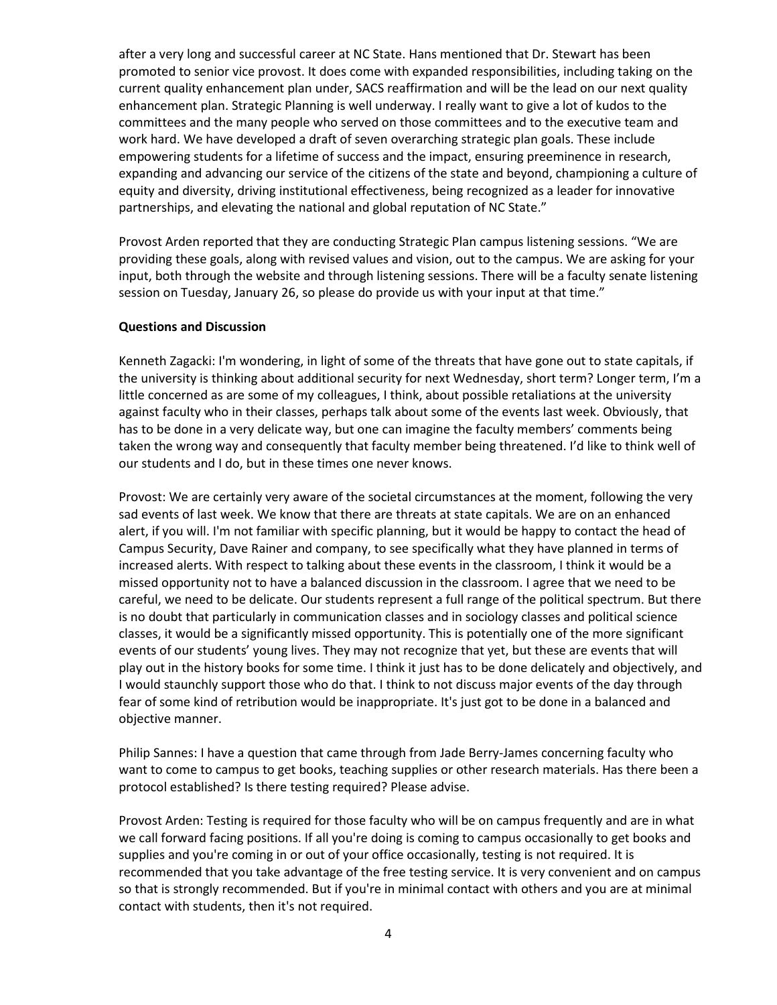after a very long and successful career at NC State. Hans mentioned that Dr. Stewart has been promoted to senior vice provost. It does come with expanded responsibilities, including taking on the current quality enhancement plan under, SACS reaffirmation and will be the lead on our next quality enhancement plan. Strategic Planning is well underway. I really want to give a lot of kudos to the committees and the many people who served on those committees and to the executive team and work hard. We have developed a draft of seven overarching strategic plan goals. These include empowering students for a lifetime of success and the impact, ensuring preeminence in research, expanding and advancing our service of the citizens of the state and beyond, championing a culture of equity and diversity, driving institutional effectiveness, being recognized as a leader for innovative partnerships, and elevating the national and global reputation of NC State."

Provost Arden reported that they are conducting Strategic Plan campus listening sessions. "We are providing these goals, along with revised values and vision, out to the campus. We are asking for your input, both through the website and through listening sessions. There will be a faculty senate listening session on Tuesday, January 26, so please do provide us with your input at that time."

#### **Questions and Discussion**

Kenneth Zagacki: I'm wondering, in light of some of the threats that have gone out to state capitals, if the university is thinking about additional security for next Wednesday, short term? Longer term, I'm a little concerned as are some of my colleagues, I think, about possible retaliations at the university against faculty who in their classes, perhaps talk about some of the events last week. Obviously, that has to be done in a very delicate way, but one can imagine the faculty members' comments being taken the wrong way and consequently that faculty member being threatened. I'd like to think well of our students and I do, but in these times one never knows.

Provost: We are certainly very aware of the societal circumstances at the moment, following the very sad events of last week. We know that there are threats at state capitals. We are on an enhanced alert, if you will. I'm not familiar with specific planning, but it would be happy to contact the head of Campus Security, Dave Rainer and company, to see specifically what they have planned in terms of increased alerts. With respect to talking about these events in the classroom, I think it would be a missed opportunity not to have a balanced discussion in the classroom. I agree that we need to be careful, we need to be delicate. Our students represent a full range of the political spectrum. But there is no doubt that particularly in communication classes and in sociology classes and political science classes, it would be a significantly missed opportunity. This is potentially one of the more significant events of our students' young lives. They may not recognize that yet, but these are events that will play out in the history books for some time. I think it just has to be done delicately and objectively, and I would staunchly support those who do that. I think to not discuss major events of the day through fear of some kind of retribution would be inappropriate. It's just got to be done in a balanced and objective manner.

Philip Sannes: I have a question that came through from Jade Berry-James concerning faculty who want to come to campus to get books, teaching supplies or other research materials. Has there been a protocol established? Is there testing required? Please advise.

Provost Arden: Testing is required for those faculty who will be on campus frequently and are in what we call forward facing positions. If all you're doing is coming to campus occasionally to get books and supplies and you're coming in or out of your office occasionally, testing is not required. It is recommended that you take advantage of the free testing service. It is very convenient and on campus so that is strongly recommended. But if you're in minimal contact with others and you are at minimal contact with students, then it's not required.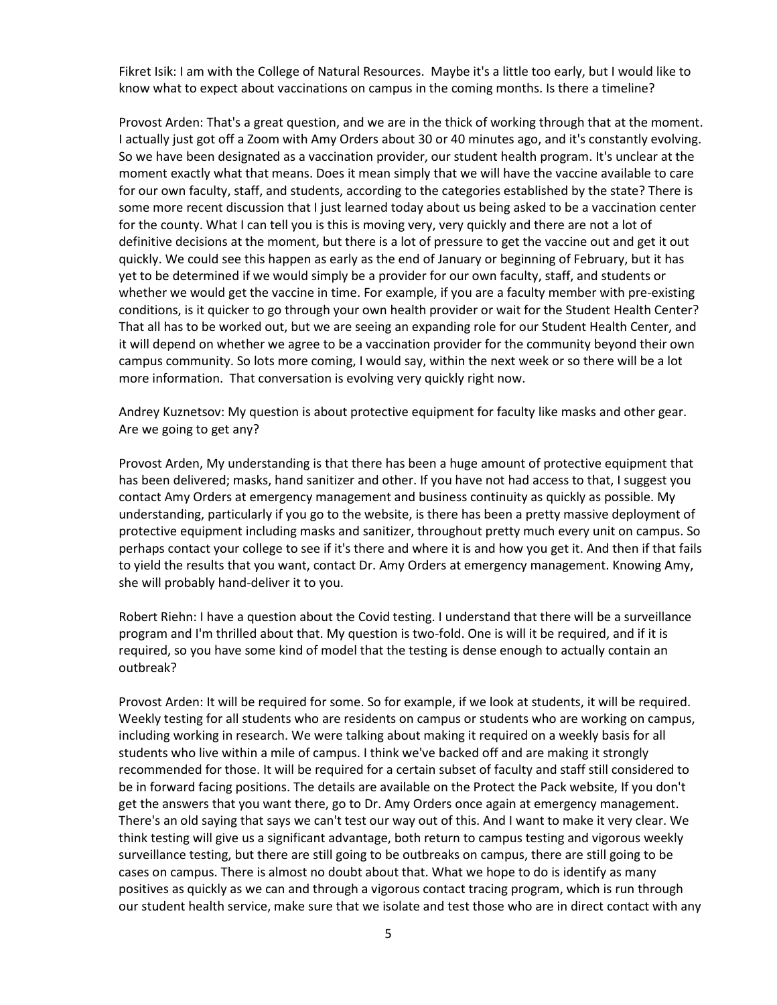Fikret Isik: I am with the College of Natural Resources. Maybe it's a little too early, but I would like to know what to expect about vaccinations on campus in the coming months. Is there a timeline?

Provost Arden: That's a great question, and we are in the thick of working through that at the moment. I actually just got off a Zoom with Amy Orders about 30 or 40 minutes ago, and it's constantly evolving. So we have been designated as a vaccination provider, our student health program. It's unclear at the moment exactly what that means. Does it mean simply that we will have the vaccine available to care for our own faculty, staff, and students, according to the categories established by the state? There is some more recent discussion that I just learned today about us being asked to be a vaccination center for the county. What I can tell you is this is moving very, very quickly and there are not a lot of definitive decisions at the moment, but there is a lot of pressure to get the vaccine out and get it out quickly. We could see this happen as early as the end of January or beginning of February, but it has yet to be determined if we would simply be a provider for our own faculty, staff, and students or whether we would get the vaccine in time. For example, if you are a faculty member with pre-existing conditions, is it quicker to go through your own health provider or wait for the Student Health Center? That all has to be worked out, but we are seeing an expanding role for our Student Health Center, and it will depend on whether we agree to be a vaccination provider for the community beyond their own campus community. So lots more coming, I would say, within the next week or so there will be a lot more information. That conversation is evolving very quickly right now.

Andrey Kuznetsov: My question is about protective equipment for faculty like masks and other gear. Are we going to get any?

Provost Arden, My understanding is that there has been a huge amount of protective equipment that has been delivered; masks, hand sanitizer and other. If you have not had access to that, I suggest you contact Amy Orders at emergency management and business continuity as quickly as possible. My understanding, particularly if you go to the website, is there has been a pretty massive deployment of protective equipment including masks and sanitizer, throughout pretty much every unit on campus. So perhaps contact your college to see if it's there and where it is and how you get it. And then if that fails to yield the results that you want, contact Dr. Amy Orders at emergency management. Knowing Amy, she will probably hand-deliver it to you.

Robert Riehn: I have a question about the Covid testing. I understand that there will be a surveillance program and I'm thrilled about that. My question is two-fold. One is will it be required, and if it is required, so you have some kind of model that the testing is dense enough to actually contain an outbreak?

Provost Arden: It will be required for some. So for example, if we look at students, it will be required. Weekly testing for all students who are residents on campus or students who are working on campus, including working in research. We were talking about making it required on a weekly basis for all students who live within a mile of campus. I think we've backed off and are making it strongly recommended for those. It will be required for a certain subset of faculty and staff still considered to be in forward facing positions. The details are available on the Protect the Pack website, If you don't get the answers that you want there, go to Dr. Amy Orders once again at emergency management. There's an old saying that says we can't test our way out of this. And I want to make it very clear. We think testing will give us a significant advantage, both return to campus testing and vigorous weekly surveillance testing, but there are still going to be outbreaks on campus, there are still going to be cases on campus. There is almost no doubt about that. What we hope to do is identify as many positives as quickly as we can and through a vigorous contact tracing program, which is run through our student health service, make sure that we isolate and test those who are in direct contact with any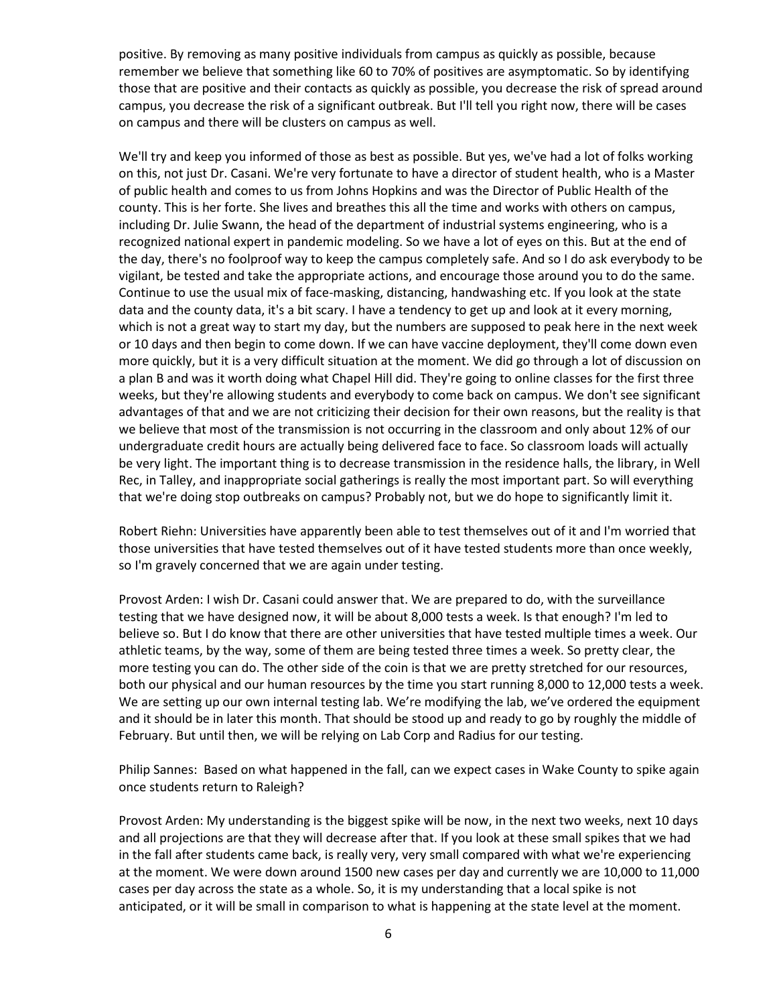positive. By removing as many positive individuals from campus as quickly as possible, because remember we believe that something like 60 to 70% of positives are asymptomatic. So by identifying those that are positive and their contacts as quickly as possible, you decrease the risk of spread around campus, you decrease the risk of a significant outbreak. But I'll tell you right now, there will be cases on campus and there will be clusters on campus as well.

We'll try and keep you informed of those as best as possible. But yes, we've had a lot of folks working on this, not just Dr. Casani. We're very fortunate to have a director of student health, who is a Master of public health and comes to us from Johns Hopkins and was the Director of Public Health of the county. This is her forte. She lives and breathes this all the time and works with others on campus, including Dr. Julie Swann, the head of the department of industrial systems engineering, who is a recognized national expert in pandemic modeling. So we have a lot of eyes on this. But at the end of the day, there's no foolproof way to keep the campus completely safe. And so I do ask everybody to be vigilant, be tested and take the appropriate actions, and encourage those around you to do the same. Continue to use the usual mix of face-masking, distancing, handwashing etc. If you look at the state data and the county data, it's a bit scary. I have a tendency to get up and look at it every morning, which is not a great way to start my day, but the numbers are supposed to peak here in the next week or 10 days and then begin to come down. If we can have vaccine deployment, they'll come down even more quickly, but it is a very difficult situation at the moment. We did go through a lot of discussion on a plan B and was it worth doing what Chapel Hill did. They're going to online classes for the first three weeks, but they're allowing students and everybody to come back on campus. We don't see significant advantages of that and we are not criticizing their decision for their own reasons, but the reality is that we believe that most of the transmission is not occurring in the classroom and only about 12% of our undergraduate credit hours are actually being delivered face to face. So classroom loads will actually be very light. The important thing is to decrease transmission in the residence halls, the library, in Well Rec, in Talley, and inappropriate social gatherings is really the most important part. So will everything that we're doing stop outbreaks on campus? Probably not, but we do hope to significantly limit it.

Robert Riehn: Universities have apparently been able to test themselves out of it and I'm worried that those universities that have tested themselves out of it have tested students more than once weekly, so I'm gravely concerned that we are again under testing.

Provost Arden: I wish Dr. Casani could answer that. We are prepared to do, with the surveillance testing that we have designed now, it will be about 8,000 tests a week. Is that enough? I'm led to believe so. But I do know that there are other universities that have tested multiple times a week. Our athletic teams, by the way, some of them are being tested three times a week. So pretty clear, the more testing you can do. The other side of the coin is that we are pretty stretched for our resources, both our physical and our human resources by the time you start running 8,000 to 12,000 tests a week. We are setting up our own internal testing lab. We're modifying the lab, we've ordered the equipment and it should be in later this month. That should be stood up and ready to go by roughly the middle of February. But until then, we will be relying on Lab Corp and Radius for our testing.

Philip Sannes: Based on what happened in the fall, can we expect cases in Wake County to spike again once students return to Raleigh?

Provost Arden: My understanding is the biggest spike will be now, in the next two weeks, next 10 days and all projections are that they will decrease after that. If you look at these small spikes that we had in the fall after students came back, is really very, very small compared with what we're experiencing at the moment. We were down around 1500 new cases per day and currently we are 10,000 to 11,000 cases per day across the state as a whole. So, it is my understanding that a local spike is not anticipated, or it will be small in comparison to what is happening at the state level at the moment.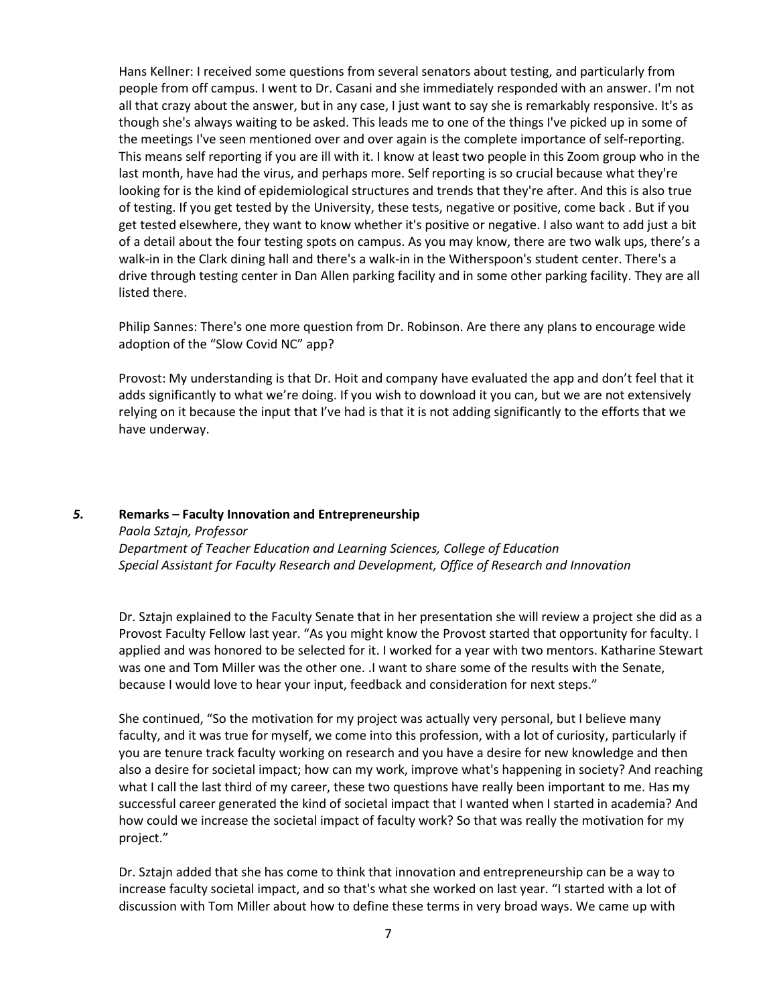Hans Kellner: I received some questions from several senators about testing, and particularly from people from off campus. I went to Dr. Casani and she immediately responded with an answer. I'm not all that crazy about the answer, but in any case, I just want to say she is remarkably responsive. It's as though she's always waiting to be asked. This leads me to one of the things I've picked up in some of the meetings I've seen mentioned over and over again is the complete importance of self-reporting. This means self reporting if you are ill with it. I know at least two people in this Zoom group who in the last month, have had the virus, and perhaps more. Self reporting is so crucial because what they're looking for is the kind of epidemiological structures and trends that they're after. And this is also true of testing. If you get tested by the University, these tests, negative or positive, come back . But if you get tested elsewhere, they want to know whether it's positive or negative. I also want to add just a bit of a detail about the four testing spots on campus. As you may know, there are two walk ups, there's a walk-in in the Clark dining hall and there's a walk-in in the Witherspoon's student center. There's a drive through testing center in Dan Allen parking facility and in some other parking facility. They are all listed there.

Philip Sannes: There's one more question from Dr. Robinson. Are there any plans to encourage wide adoption of the "Slow Covid NC" app?

Provost: My understanding is that Dr. Hoit and company have evaluated the app and don't feel that it adds significantly to what we're doing. If you wish to download it you can, but we are not extensively relying on it because the input that I've had is that it is not adding significantly to the efforts that we have underway.

#### *5.* **Remarks – Faculty Innovation and Entrepreneurship**

*Paola Sztajn, Professor*

*Department of Teacher Education and Learning Sciences, College of Education Special Assistant for Faculty Research and Development, Office of Research and Innovation*

Dr. Sztajn explained to the Faculty Senate that in her presentation she will review a project she did as a Provost Faculty Fellow last year. "As you might know the Provost started that opportunity for faculty. I applied and was honored to be selected for it. I worked for a year with two mentors. Katharine Stewart was one and Tom Miller was the other one. .I want to share some of the results with the Senate, because I would love to hear your input, feedback and consideration for next steps."

She continued, "So the motivation for my project was actually very personal, but I believe many faculty, and it was true for myself, we come into this profession, with a lot of curiosity, particularly if you are tenure track faculty working on research and you have a desire for new knowledge and then also a desire for societal impact; how can my work, improve what's happening in society? And reaching what I call the last third of my career, these two questions have really been important to me. Has my successful career generated the kind of societal impact that I wanted when I started in academia? And how could we increase the societal impact of faculty work? So that was really the motivation for my project."

Dr. Sztajn added that she has come to think that innovation and entrepreneurship can be a way to increase faculty societal impact, and so that's what she worked on last year. "I started with a lot of discussion with Tom Miller about how to define these terms in very broad ways. We came up with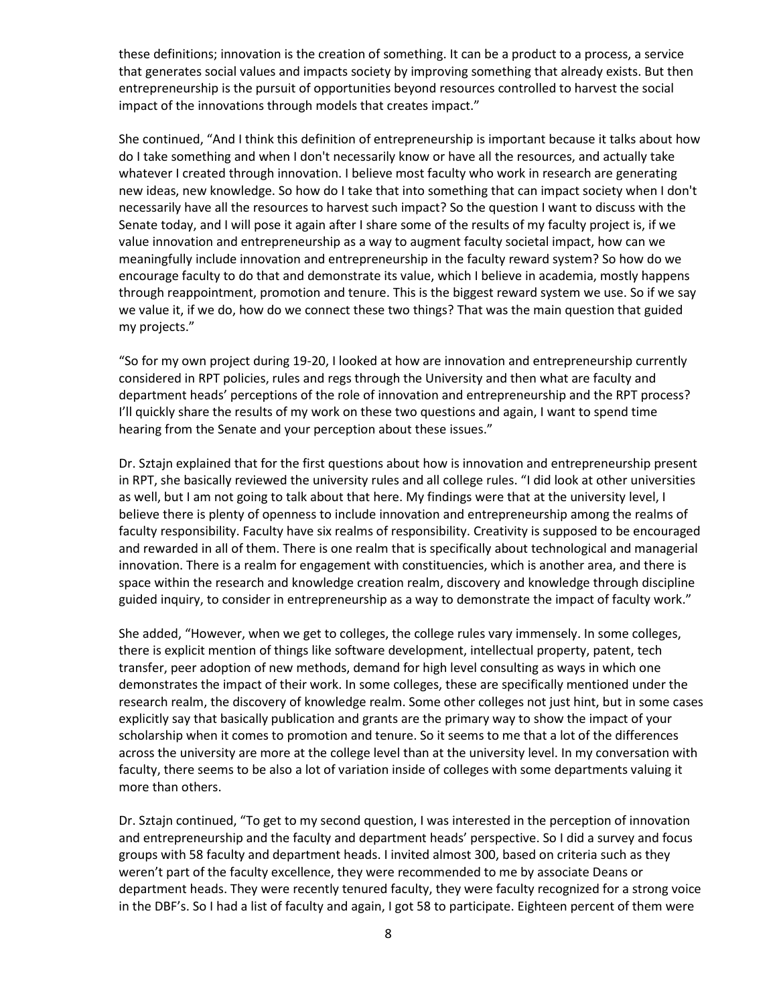these definitions; innovation is the creation of something. It can be a product to a process, a service that generates social values and impacts society by improving something that already exists. But then entrepreneurship is the pursuit of opportunities beyond resources controlled to harvest the social impact of the innovations through models that creates impact."

She continued, "And I think this definition of entrepreneurship is important because it talks about how do I take something and when I don't necessarily know or have all the resources, and actually take whatever I created through innovation. I believe most faculty who work in research are generating new ideas, new knowledge. So how do I take that into something that can impact society when I don't necessarily have all the resources to harvest such impact? So the question I want to discuss with the Senate today, and I will pose it again after I share some of the results of my faculty project is, if we value innovation and entrepreneurship as a way to augment faculty societal impact, how can we meaningfully include innovation and entrepreneurship in the faculty reward system? So how do we encourage faculty to do that and demonstrate its value, which I believe in academia, mostly happens through reappointment, promotion and tenure. This is the biggest reward system we use. So if we say we value it, if we do, how do we connect these two things? That was the main question that guided my projects."

"So for my own project during 19-20, I looked at how are innovation and entrepreneurship currently considered in RPT policies, rules and regs through the University and then what are faculty and department heads' perceptions of the role of innovation and entrepreneurship and the RPT process? I'll quickly share the results of my work on these two questions and again, I want to spend time hearing from the Senate and your perception about these issues."

Dr. Sztajn explained that for the first questions about how is innovation and entrepreneurship present in RPT, she basically reviewed the university rules and all college rules. "I did look at other universities as well, but I am not going to talk about that here. My findings were that at the university level, I believe there is plenty of openness to include innovation and entrepreneurship among the realms of faculty responsibility. Faculty have six realms of responsibility. Creativity is supposed to be encouraged and rewarded in all of them. There is one realm that is specifically about technological and managerial innovation. There is a realm for engagement with constituencies, which is another area, and there is space within the research and knowledge creation realm, discovery and knowledge through discipline guided inquiry, to consider in entrepreneurship as a way to demonstrate the impact of faculty work."

She added, "However, when we get to colleges, the college rules vary immensely. In some colleges, there is explicit mention of things like software development, intellectual property, patent, tech transfer, peer adoption of new methods, demand for high level consulting as ways in which one demonstrates the impact of their work. In some colleges, these are specifically mentioned under the research realm, the discovery of knowledge realm. Some other colleges not just hint, but in some cases explicitly say that basically publication and grants are the primary way to show the impact of your scholarship when it comes to promotion and tenure. So it seems to me that a lot of the differences across the university are more at the college level than at the university level. In my conversation with faculty, there seems to be also a lot of variation inside of colleges with some departments valuing it more than others.

Dr. Sztajn continued, "To get to my second question, I was interested in the perception of innovation and entrepreneurship and the faculty and department heads' perspective. So I did a survey and focus groups with 58 faculty and department heads. I invited almost 300, based on criteria such as they weren't part of the faculty excellence, they were recommended to me by associate Deans or department heads. They were recently tenured faculty, they were faculty recognized for a strong voice in the DBF's. So I had a list of faculty and again, I got 58 to participate. Eighteen percent of them were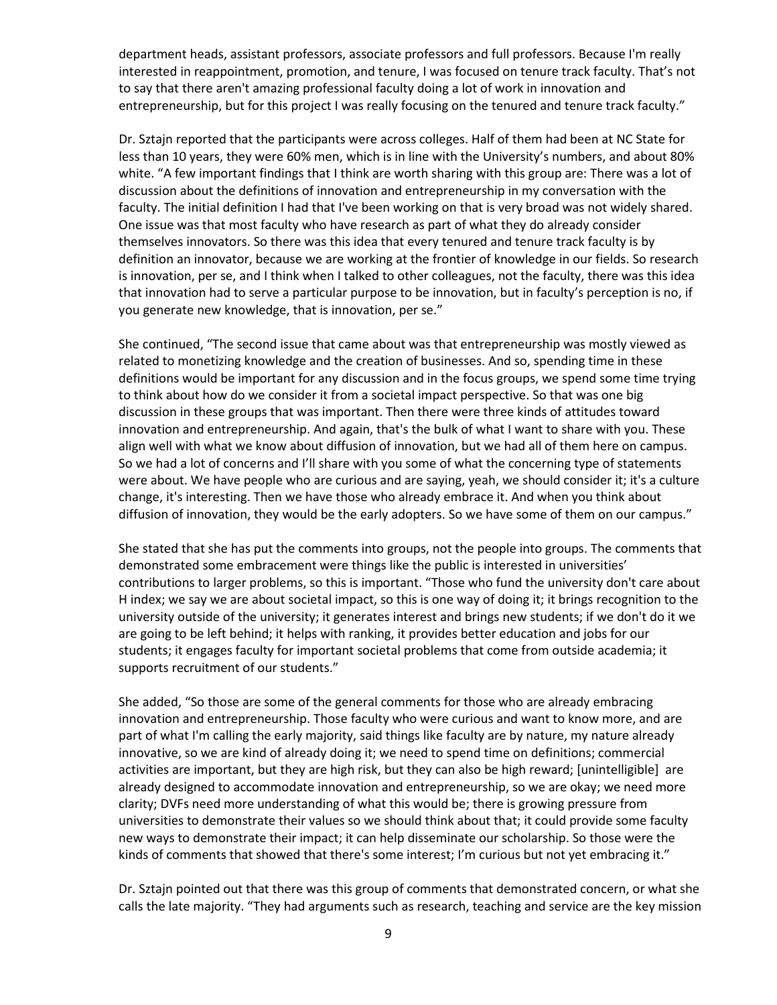department heads, assistant professors, associate professors and full professors. Because I'm really interested in reappointment, promotion, and tenure, I was focused on tenure track faculty. That's not to say that there aren't amazing professional faculty doing a lot of work in innovation and entrepreneurship, but for this project I was really focusing on the tenured and tenure track faculty."

Dr. Sztajn reported that the participants were across colleges. Half of them had been at NC State for less than 10 years, they were 60% men, which is in line with the University's numbers, and about 80% white. "A few important findings that I think are worth sharing with this group are: There was a lot of discussion about the definitions of innovation and entrepreneurship in my conversation with the faculty. The initial definition I had that I've been working on that is very broad was not widely shared. One issue was that most faculty who have research as part of what they do already consider themselves innovators. So there was this idea that every tenured and tenure track faculty is by definition an innovator, because we are working at the frontier of knowledge in our fields. So research is innovation, per se, and I think when I talked to other colleagues, not the faculty, there was this idea that innovation had to serve a particular purpose to be innovation, but in faculty's perception is no, if you generate new knowledge, that is innovation, per se."

She continued, "The second issue that came about was that entrepreneurship was mostly viewed as related to monetizing knowledge and the creation of businesses. And so, spending time in these definitions would be important for any discussion and in the focus groups, we spend some time trying to think about how do we consider it from a societal impact perspective. So that was one big discussion in these groups that was important. Then there were three kinds of attitudes toward innovation and entrepreneurship. And again, that's the bulk of what I want to share with you. These align well with what we know about diffusion of innovation, but we had all of them here on campus. So we had a lot of concerns and I'll share with you some of what the concerning type of statements were about. We have people who are curious and are saying, yeah, we should consider it; it's a culture change, it's interesting. Then we have those who already embrace it. And when you think about diffusion of innovation, they would be the early adopters. So we have some of them on our campus."

She stated that she has put the comments into groups, not the people into groups. The comments that demonstrated some embracement were things like the public is interested in universities' contributions to larger problems, so this is important. "Those who fund the university don't care about H index; we say we are about societal impact, so this is one way of doing it; it brings recognition to the university outside of the university; it generates interest and brings new students; if we don't do it we are going to be left behind; it helps with ranking, it provides better education and jobs for our students; it engages faculty for important societal problems that come from outside academia; it supports recruitment of our students."

She added, "So those are some of the general comments for those who are already embracing innovation and entrepreneurship. Those faculty who were curious and want to know more, and are part of what I'm calling the early majority, said things like faculty are by nature, my nature already innovative, so we are kind of already doing it; we need to spend time on definitions; commercial activities are important, but they are high risk, but they can also be high reward; [unintelligible] are already designed to accommodate innovation and entrepreneurship, so we are okay; we need more clarity; DVFs need more understanding of what this would be; there is growing pressure from universities to demonstrate their values so we should think about that; it could provide some faculty new ways to demonstrate their impact; it can help disseminate our scholarship. So those were the kinds of comments that showed that there's some interest; I'm curious but not yet embracing it."

Dr. Sztajn pointed out that there was this group of comments that demonstrated concern, or what she calls the late majority. "They had arguments such as research, teaching and service are the key mission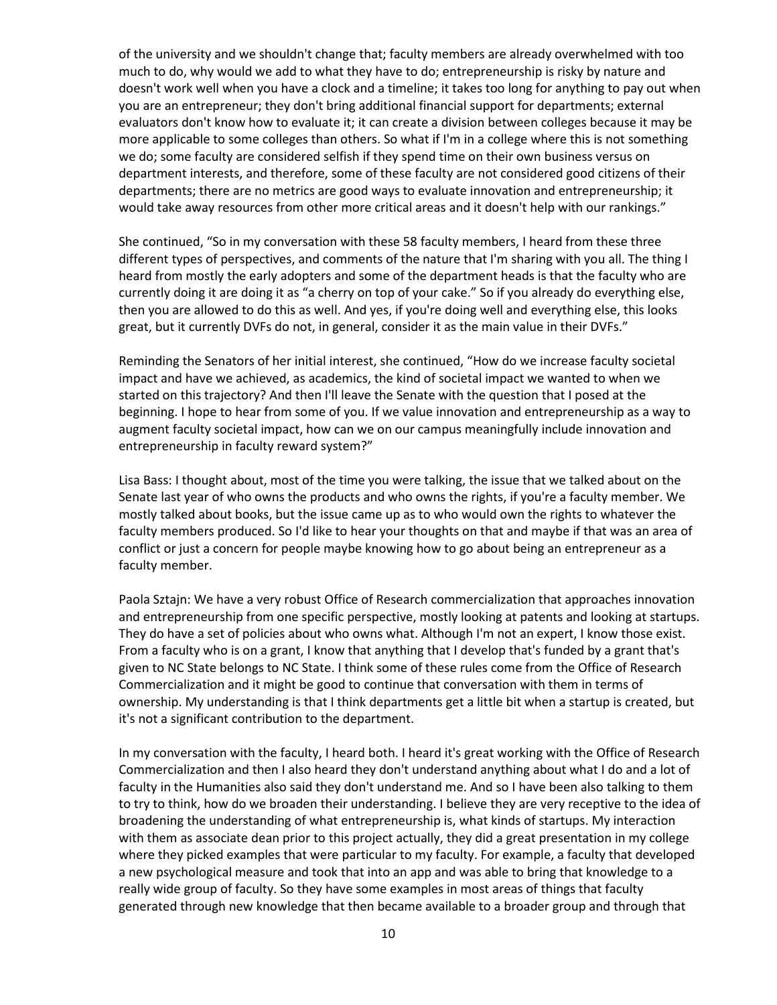of the university and we shouldn't change that; faculty members are already overwhelmed with too much to do, why would we add to what they have to do; entrepreneurship is risky by nature and doesn't work well when you have a clock and a timeline; it takes too long for anything to pay out when you are an entrepreneur; they don't bring additional financial support for departments; external evaluators don't know how to evaluate it; it can create a division between colleges because it may be more applicable to some colleges than others. So what if I'm in a college where this is not something we do; some faculty are considered selfish if they spend time on their own business versus on department interests, and therefore, some of these faculty are not considered good citizens of their departments; there are no metrics are good ways to evaluate innovation and entrepreneurship; it would take away resources from other more critical areas and it doesn't help with our rankings."

She continued, "So in my conversation with these 58 faculty members, I heard from these three different types of perspectives, and comments of the nature that I'm sharing with you all. The thing I heard from mostly the early adopters and some of the department heads is that the faculty who are currently doing it are doing it as "a cherry on top of your cake." So if you already do everything else, then you are allowed to do this as well. And yes, if you're doing well and everything else, this looks great, but it currently DVFs do not, in general, consider it as the main value in their DVFs."

Reminding the Senators of her initial interest, she continued, "How do we increase faculty societal impact and have we achieved, as academics, the kind of societal impact we wanted to when we started on this trajectory? And then I'll leave the Senate with the question that I posed at the beginning. I hope to hear from some of you. If we value innovation and entrepreneurship as a way to augment faculty societal impact, how can we on our campus meaningfully include innovation and entrepreneurship in faculty reward system?"

Lisa Bass: I thought about, most of the time you were talking, the issue that we talked about on the Senate last year of who owns the products and who owns the rights, if you're a faculty member. We mostly talked about books, but the issue came up as to who would own the rights to whatever the faculty members produced. So I'd like to hear your thoughts on that and maybe if that was an area of conflict or just a concern for people maybe knowing how to go about being an entrepreneur as a faculty member.

Paola Sztajn: We have a very robust Office of Research commercialization that approaches innovation and entrepreneurship from one specific perspective, mostly looking at patents and looking at startups. They do have a set of policies about who owns what. Although I'm not an expert, I know those exist. From a faculty who is on a grant, I know that anything that I develop that's funded by a grant that's given to NC State belongs to NC State. I think some of these rules come from the Office of Research Commercialization and it might be good to continue that conversation with them in terms of ownership. My understanding is that I think departments get a little bit when a startup is created, but it's not a significant contribution to the department.

In my conversation with the faculty, I heard both. I heard it's great working with the Office of Research Commercialization and then I also heard they don't understand anything about what I do and a lot of faculty in the Humanities also said they don't understand me. And so I have been also talking to them to try to think, how do we broaden their understanding. I believe they are very receptive to the idea of broadening the understanding of what entrepreneurship is, what kinds of startups. My interaction with them as associate dean prior to this project actually, they did a great presentation in my college where they picked examples that were particular to my faculty. For example, a faculty that developed a new psychological measure and took that into an app and was able to bring that knowledge to a really wide group of faculty. So they have some examples in most areas of things that faculty generated through new knowledge that then became available to a broader group and through that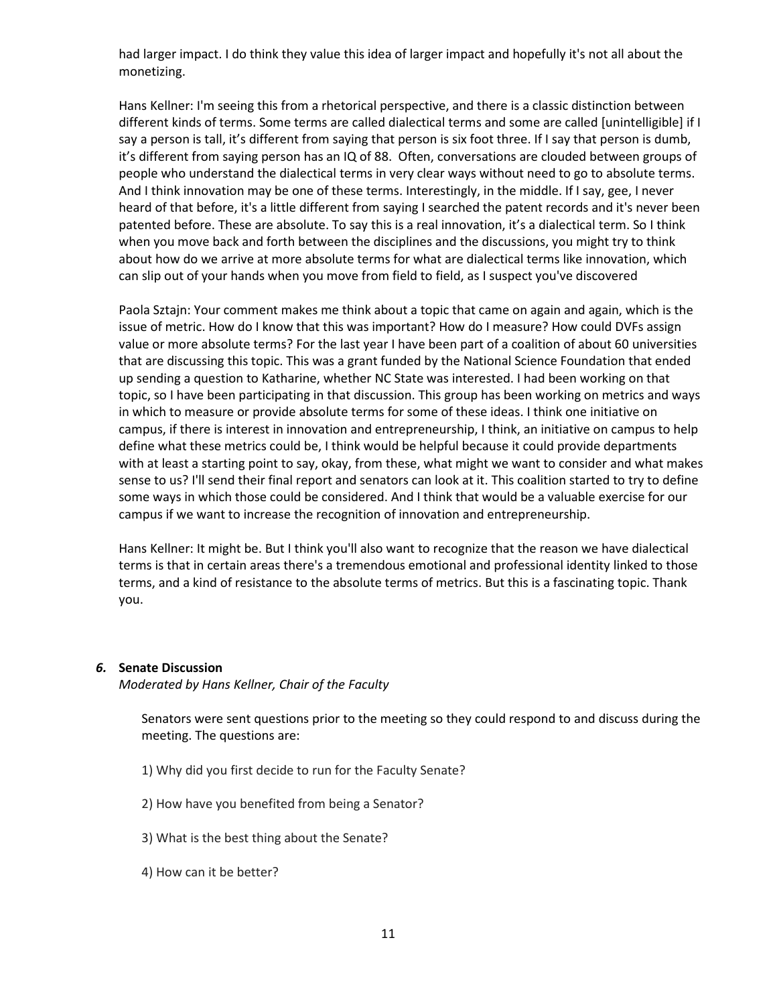had larger impact. I do think they value this idea of larger impact and hopefully it's not all about the monetizing.

Hans Kellner: I'm seeing this from a rhetorical perspective, and there is a classic distinction between different kinds of terms. Some terms are called dialectical terms and some are called [unintelligible] if I say a person is tall, it's different from saying that person is six foot three. If I say that person is dumb, it's different from saying person has an IQ of 88. Often, conversations are clouded between groups of people who understand the dialectical terms in very clear ways without need to go to absolute terms. And I think innovation may be one of these terms. Interestingly, in the middle. If I say, gee, I never heard of that before, it's a little different from saying I searched the patent records and it's never been patented before. These are absolute. To say this is a real innovation, it's a dialectical term. So I think when you move back and forth between the disciplines and the discussions, you might try to think about how do we arrive at more absolute terms for what are dialectical terms like innovation, which can slip out of your hands when you move from field to field, as I suspect you've discovered

Paola Sztajn: Your comment makes me think about a topic that came on again and again, which is the issue of metric. How do I know that this was important? How do I measure? How could DVFs assign value or more absolute terms? For the last year I have been part of a coalition of about 60 universities that are discussing this topic. This was a grant funded by the National Science Foundation that ended up sending a question to Katharine, whether NC State was interested. I had been working on that topic, so I have been participating in that discussion. This group has been working on metrics and ways in which to measure or provide absolute terms for some of these ideas. I think one initiative on campus, if there is interest in innovation and entrepreneurship, I think, an initiative on campus to help define what these metrics could be, I think would be helpful because it could provide departments with at least a starting point to say, okay, from these, what might we want to consider and what makes sense to us? I'll send their final report and senators can look at it. This coalition started to try to define some ways in which those could be considered. And I think that would be a valuable exercise for our campus if we want to increase the recognition of innovation and entrepreneurship.

Hans Kellner: It might be. But I think you'll also want to recognize that the reason we have dialectical terms is that in certain areas there's a tremendous emotional and professional identity linked to those terms, and a kind of resistance to the absolute terms of metrics. But this is a fascinating topic. Thank you.

#### *6.* **Senate Discussion**

*Moderated by Hans Kellner, Chair of the Faculty*

Senators were sent questions prior to the meeting so they could respond to and discuss during the meeting. The questions are:

- 1) Why did you first decide to run for the Faculty Senate?
- 2) How have you benefited from being a Senator?
- 3) What is the best thing about the Senate?
- 4) How can it be better?